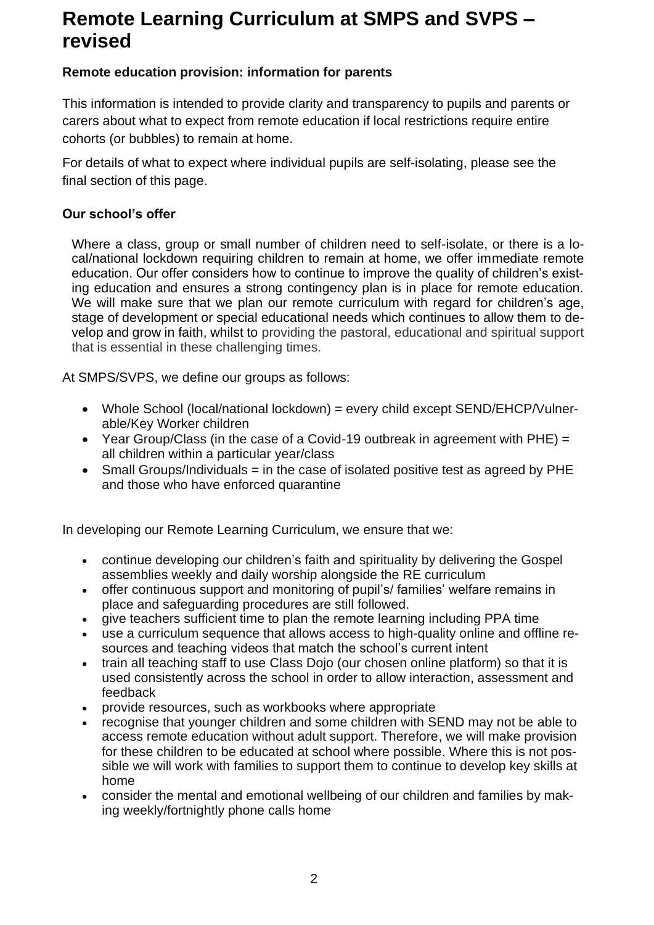# **Remote Learning Curriculum at SMPS and SVPS – revised**

#### **Remote education provision: information for parents**

This information is intended to provide clarity and transparency to pupils and parents or carers about what to expect from remote education if local restrictions require entire cohorts (or bubbles) to remain at home.

For details of what to expect where individual pupils are self-isolating, please see the final section of this page.

#### **Our school's offer**

Where a class, group or small number of children need to self-isolate, or there is a local/national lockdown requiring children to remain at home, we offer immediate remote education. Our offer considers how to continue to improve the quality of children's existing education and ensures a strong contingency plan is in place for remote education. We will make sure that we plan our remote curriculum with regard for children's age, stage of development or special educational needs which continues to allow them to develop and grow in faith, whilst to providing the pastoral, educational and spiritual support that is essential in these challenging times.

At SMPS/SVPS, we define our groups as follows:

- Whole School (local/national lockdown) = every child except SEND/EHCP/Vulnerable/Key Worker children
- Year Group/Class (in the case of a Covid-19 outbreak in agreement with PHE) = all children within a particular year/class
- Small Groups/Individuals = in the case of isolated positive test as agreed by PHE and those who have enforced quarantine

In developing our Remote Learning Curriculum, we ensure that we:

- continue developing our children's faith and spirituality by delivering the Gospel assemblies weekly and daily worship alongside the RE curriculum
- offer continuous support and monitoring of pupil's/ families' welfare remains in place and safeguarding procedures are still followed.
- give teachers sufficient time to plan the remote learning including PPA time
- use a curriculum sequence that allows access to high-quality online and offline resources and teaching videos that match the school's current intent
- train all teaching staff to use Class Dojo (our chosen online platform) so that it is used consistently across the school in order to allow interaction, assessment and feedback
- provide resources, such as workbooks where appropriate
- recognise that younger children and some children with SEND may not be able to access remote education without adult support. Therefore, we will make provision for these children to be educated at school where possible. Where this is not possible we will work with families to support them to continue to develop key skills at home
- consider the mental and emotional wellbeing of our children and families by making weekly/fortnightly phone calls home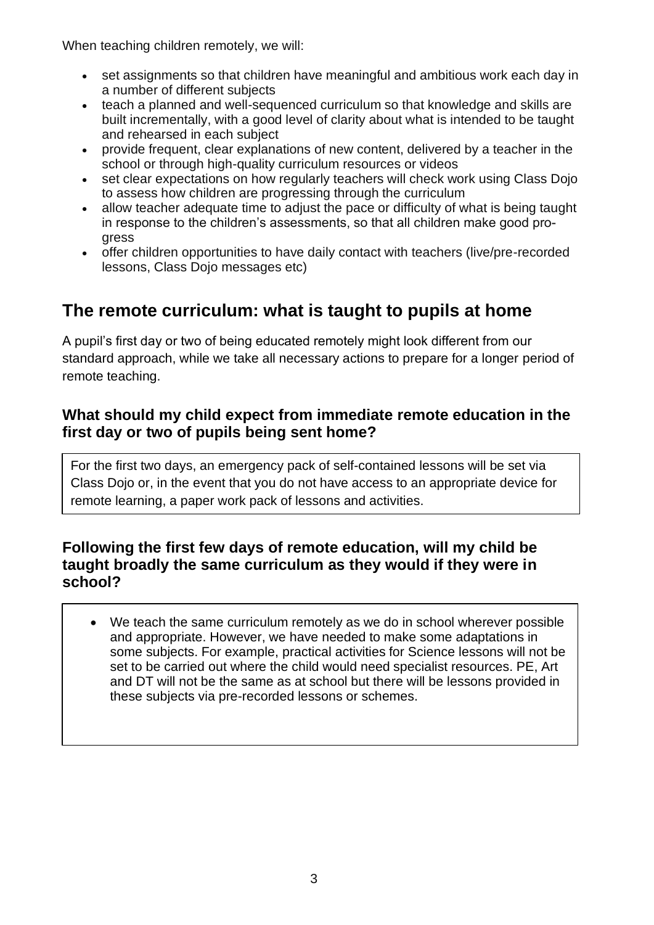When teaching children remotely, we will:

- set assignments so that children have meaningful and ambitious work each day in a number of different subjects
- teach a planned and well-sequenced curriculum so that knowledge and skills are built incrementally, with a good level of clarity about what is intended to be taught and rehearsed in each subject
- provide frequent, clear explanations of new content, delivered by a teacher in the school or through high-quality curriculum resources or videos
- set clear expectations on how regularly teachers will check work using Class Dojo to assess how children are progressing through the curriculum
- allow teacher adequate time to adjust the pace or difficulty of what is being taught in response to the children's assessments, so that all children make good progress
- offer children opportunities to have daily contact with teachers (live/pre-recorded lessons, Class Dojo messages etc)

# **The remote curriculum: what is taught to pupils at home**

A pupil's first day or two of being educated remotely might look different from our standard approach, while we take all necessary actions to prepare for a longer period of remote teaching.

#### **What should my child expect from immediate remote education in the first day or two of pupils being sent home?**

For the first two days, an emergency pack of self-contained lessons will be set via Class Dojo or, in the event that you do not have access to an appropriate device for remote learning, a paper work pack of lessons and activities.

#### **Following the first few days of remote education, will my child be taught broadly the same curriculum as they would if they were in school?**

• We teach the same curriculum remotely as we do in school wherever possible and appropriate. However, we have needed to make some adaptations in some subjects. For example, practical activities for Science lessons will not be set to be carried out where the child would need specialist resources. PE, Art and DT will not be the same as at school but there will be lessons provided in these subjects via pre-recorded lessons or schemes.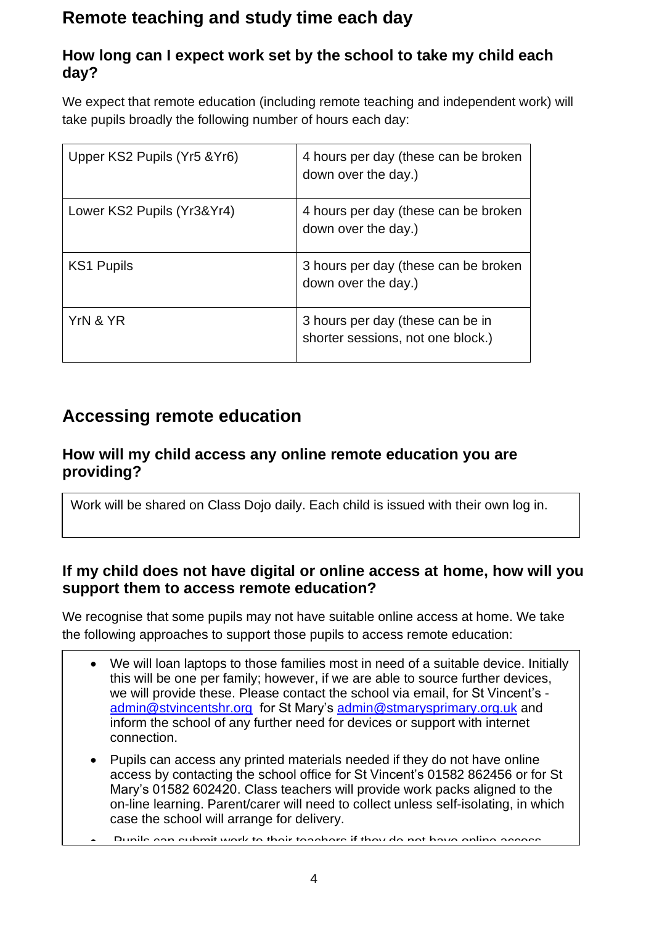# **Remote teaching and study time each day**

### **How long can I expect work set by the school to take my child each day?**

We expect that remote education (including remote teaching and independent work) will take pupils broadly the following number of hours each day:

| Upper KS2 Pupils (Yr5 & Yr6) | 4 hours per day (these can be broken<br>down over the day.)           |
|------------------------------|-----------------------------------------------------------------------|
| Lower KS2 Pupils (Yr3&Yr4)   | 4 hours per day (these can be broken<br>down over the day.)           |
| <b>KS1 Pupils</b>            | 3 hours per day (these can be broken<br>down over the day.)           |
| YrN & YR                     | 3 hours per day (these can be in<br>shorter sessions, not one block.) |

## **Accessing remote education**

#### **How will my child access any online remote education you are providing?**

Work will be shared on Class Dojo daily. Each child is issued with their own log in.

#### **If my child does not have digital or online access at home, how will you support them to access remote education?**

We recognise that some pupils may not have suitable online access at home. We take the following approaches to support those pupils to access remote education:

- We will loan laptops to those families most in need of a suitable device. Initially this will be one per family; however, if we are able to source further devices, we will provide these. Please contact the school via email, for St Vincent's [admin@stvincentshr.org](mailto:admin@stvincentshr.org) for St Mary's [admin@stmarysprimary.org.uk](mailto:admin@stmarysprimary.org.uk) and inform the school of any further need for devices or support with internet connection.
- Pupils can access any printed materials needed if they do not have online access by contacting the school office for St Vincent's 01582 862456 or for St Mary's 01582 602420. Class teachers will provide work packs aligned to the on-line learning. Parent/carer will need to collect unless self-isolating, in which case the school will arrange for delivery.
- Pupils can submit work to their teachers if they do not have online access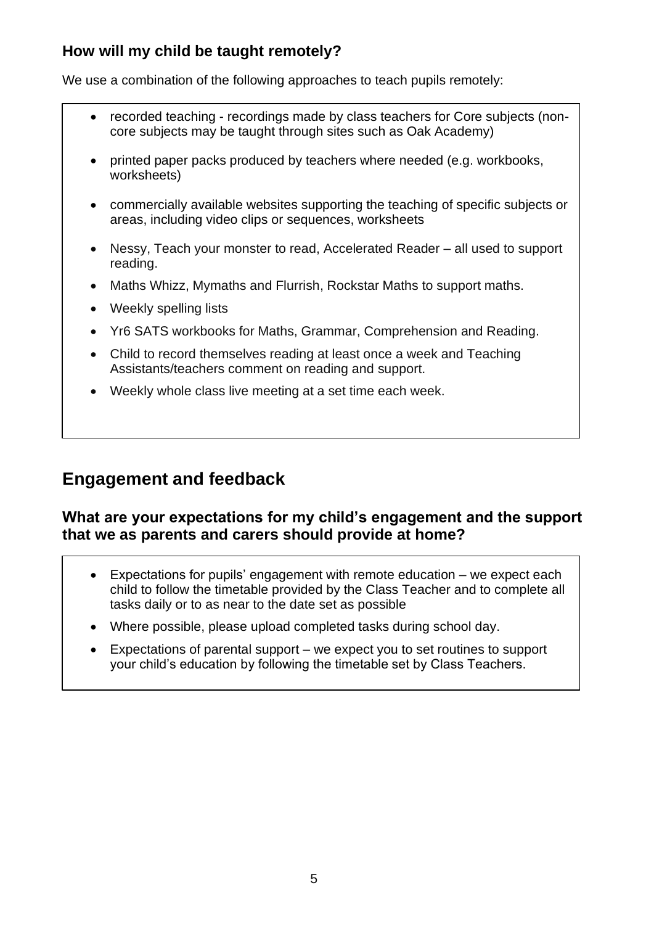## **How will my child be taught remotely?**

We use a combination of the following approaches to teach pupils remotely:

- recorded teaching recordings made by class teachers for Core subjects (noncore subjects may be taught through sites such as Oak Academy)
- printed paper packs produced by teachers where needed (e.g. workbooks, worksheets)
- commercially available websites supporting the teaching of specific subjects or areas, including video clips or sequences, worksheets
- Nessy, Teach your monster to read, Accelerated Reader all used to support reading.
- Maths Whizz, Mymaths and Flurrish, Rockstar Maths to support maths.
- Weekly spelling lists
- Yr6 SATS workbooks for Maths, Grammar, Comprehension and Reading.
- Child to record themselves reading at least once a week and Teaching Assistants/teachers comment on reading and support.
- Weekly whole class live meeting at a set time each week.

## **Engagement and feedback**

#### **What are your expectations for my child's engagement and the support that we as parents and carers should provide at home?**

- Expectations for pupils' engagement with remote education we expect each child to follow the timetable provided by the Class Teacher and to complete all tasks daily or to as near to the date set as possible
- Where possible, please upload completed tasks during school day.
- Expectations of parental support we expect you to set routines to support your child's education by following the timetable set by Class Teachers.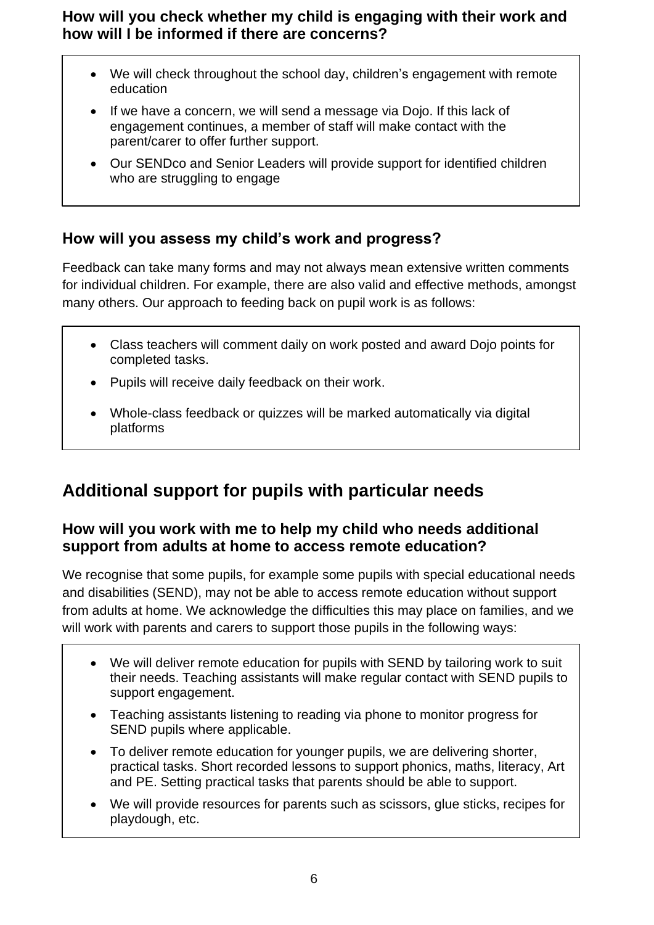**How will you check whether my child is engaging with their work and how will I be informed if there are concerns?**

- We will check throughout the school day, children's engagement with remote education
- If we have a concern, we will send a message via Dojo. If this lack of engagement continues, a member of staff will make contact with the parent/carer to offer further support.
- Our SENDco and Senior Leaders will provide support for identified children who are struggling to engage

### **How will you assess my child's work and progress?**

Feedback can take many forms and may not always mean extensive written comments for individual children. For example, there are also valid and effective methods, amongst many others. Our approach to feeding back on pupil work is as follows:

- Class teachers will comment daily on work posted and award Dojo points for completed tasks.
- Pupils will receive daily feedback on their work.
- Whole-class feedback or quizzes will be marked automatically via digital platforms

# **Additional support for pupils with particular needs**

#### **How will you work with me to help my child who needs additional support from adults at home to access remote education?**

We recognise that some pupils, for example some pupils with special educational needs and disabilities (SEND), may not be able to access remote education without support from adults at home. We acknowledge the difficulties this may place on families, and we will work with parents and carers to support those pupils in the following ways:

- We will deliver remote education for pupils with SEND by tailoring work to suit their needs. Teaching assistants will make regular contact with SEND pupils to support engagement.
- Teaching assistants listening to reading via phone to monitor progress for SEND pupils where applicable.
- To deliver remote education for younger pupils, we are delivering shorter, practical tasks. Short recorded lessons to support phonics, maths, literacy, Art and PE. Setting practical tasks that parents should be able to support.
- We will provide resources for parents such as scissors, glue sticks, recipes for playdough, etc.